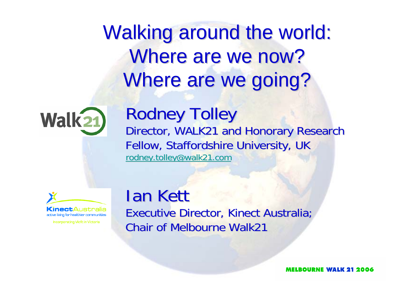Walking around the world: Where are we now? Where are we going?



### Rodney Tolley

Director, WALK21 and Honorary Research Fellow, Staffordshire University, UK rodney.tolley@walk21.com



**Incorporating Vicfit in Victoria** 

#### **Ian Kett** Executive Director, Kinect Australia; **Chair of Melbourne Walk21**

ELROURNE WALK 21 2006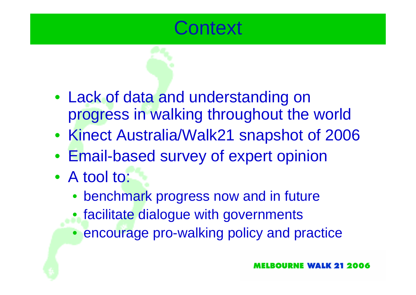

- Lack of data and understanding on progress in walking throughout the world
- Kinect Australia/Walk21 snapshot of 2006
- Email-based survey of expert opinion
- A tool to:
	- benchmark progress now and in future
	- facilitate dialogue with governments
	- encourage pro-walking policy and practice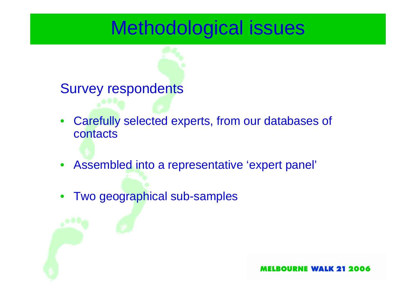## Methodological issues

#### Survey respondents

- Carefully selected experts, from our databases of contacts
- $\bullet$ Assembled into a representative 'expert panel'
- •Two geographical sub-samples

ELROURNE WALK 21 2006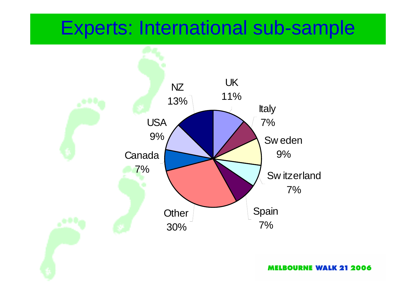## Experts: International sub-sample



**MELBOURNE WALK 21 2006**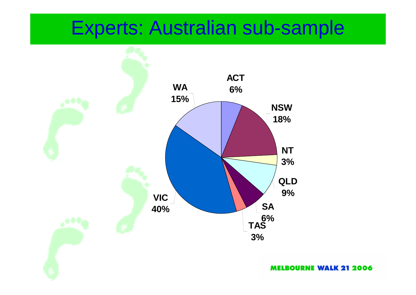## Experts: Australian sub-sample



**MELBOURNE WALK 21 2006**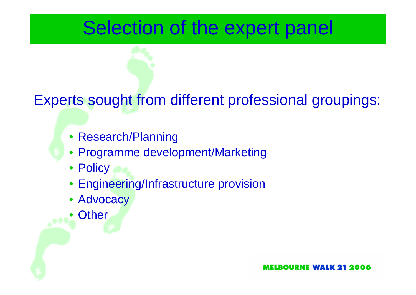## Selection of the expert panel

### Experts sought from different professional groupings:

- Research/Planning
- Programme development/Marketing
- Policy
- Engineering/Infrastructure provision
- Advocacy
- •**Other**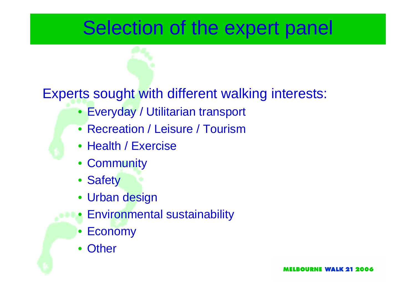## Selection of the expert panel

#### Experts sought with different walking interests:

- Everyday / Utilitarian transport
- Recreation / Leisure / Tourism
- Health / Exercise
- Community
- Safety
- Urban design
- Environmental sustainability
	- Economy
	- Other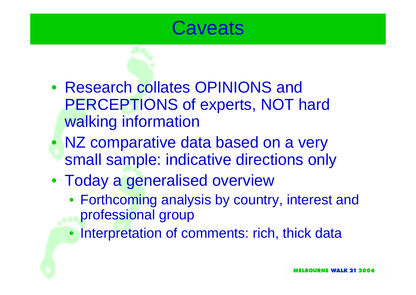## **Caveats**

- Research collates OPINIONS and PERCEPTIONS of experts, NOT hard walking information
- NZ comparative data based on a very small sample: indicative directions only
- Today a generalised overview
	- Forthcoming analysis by country, interest and professional group
	- Interpretation of comments: rich, thick data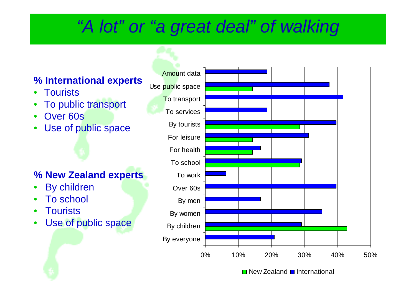## *"A lot" or "a great deal" of walking*

#### **% International experts**

- •**Tourists**
- •To public transport
- •Over 60s
- •Use of public space

#### **% New Zealand experts**

- •By children
- •To school
- •**Tourists**
- •Use of public space

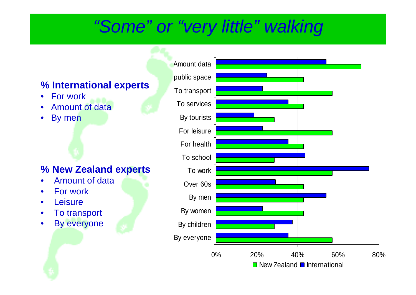### *"Some" or "very little" walking*

#### **% International experts**

- $\bullet$ For work
- •Amount of data
- •By men

#### **% New Zealand experts**

- •Amount of data
- •For work
- •**Leisure**
- •To transport
- $\bullet$ By everyone

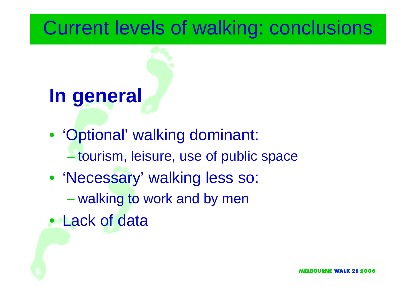## Current levels of walking: conclusions

## **In general**

- 'Optional' walking dominant: tourism, leisure, use of public space
- 'Necessary' walking less so:
	- walking to work and by men
- Lack of data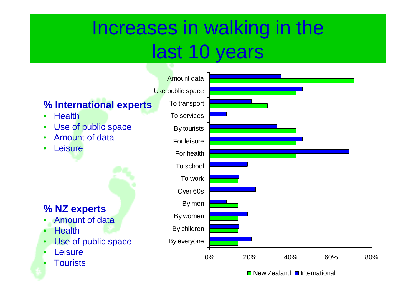## Increases in walking in the last 10 years

#### **% International experts**

- •**Health**
- •Use of public space
- •• Amount of data
- •• Leisure

#### **% NZ experts**

- •Amount of data
- •**Health**
- •Use of public space
- •**Leisure**
- •**Tourists**

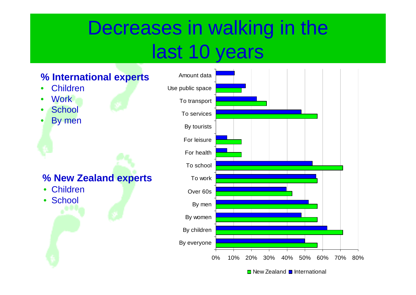## Decreases in walking in the last 10 years

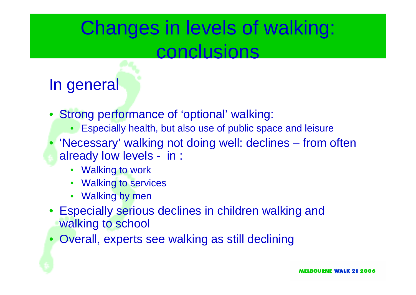## Changes in levels of walking: conclusions

### In general

- Strong performance of 'optional' walking:
	- Especially health, but also use of public space and leisure
- 'Necessary' walking not doing well: declines from often already low levels - in :
	- Walking to work
	- •Walking to services
	- Walking by men
- Especially serious declines in children walking and walking to school
- $\bullet$ Overall, experts see walking as still declining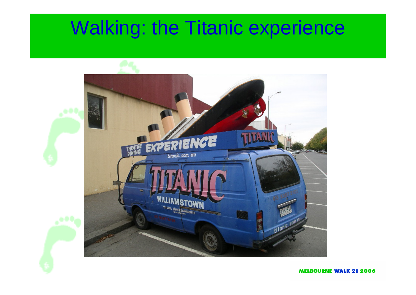## Walking: the Titanic experience

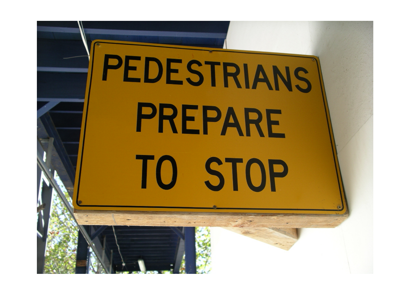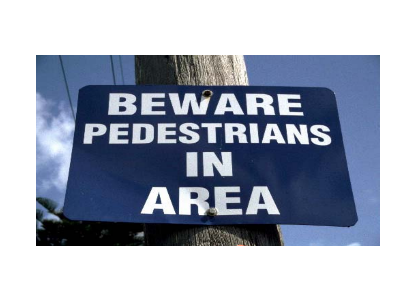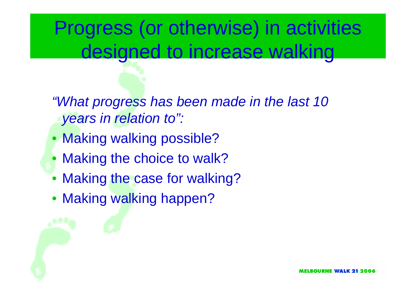## Progress (or otherwise) in activities designed to increase walking

*"What progress has been made in the last 10 years in relation to":*

- Making walking possible?
- Making the choice to walk?
- Making the case for walking?
- Making walking happen?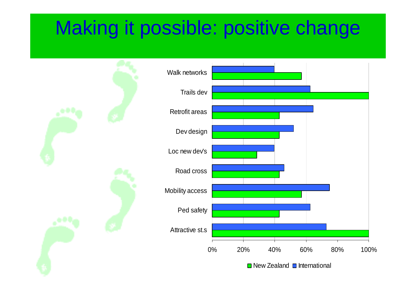## Making it possible: positive change

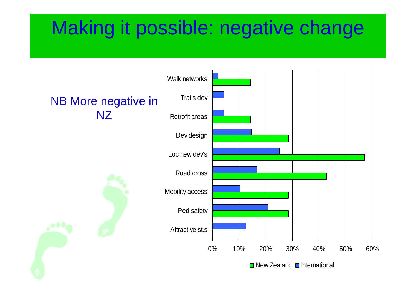## Making it possible: negative change

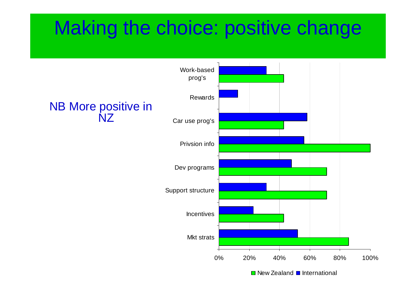## Making the choice: positive change

### NB More positive in NZ0% 20% 40% 60% 80% 100%Mkt strats**Incentives** Support structure Dev programs Privsion infoCar use prog's RewardsWork-basedprog's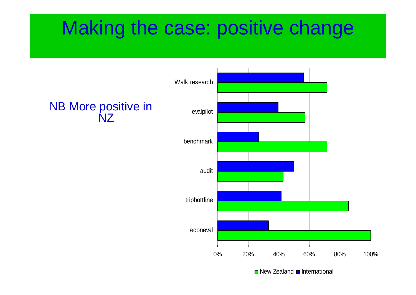## Making the case: positive change

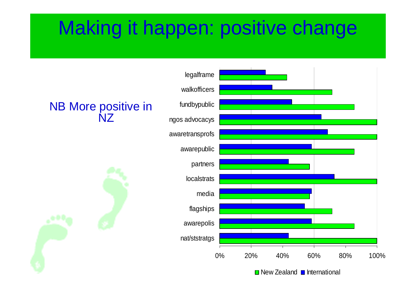## Making it happen: positive change

#### NB More positive in NZ



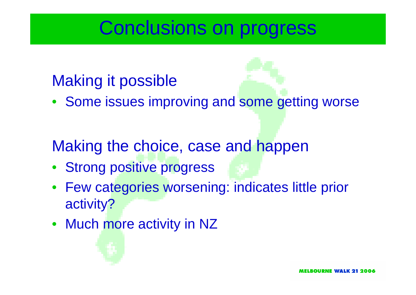## Conclusions on progress

### Making it possible

• Some issues improving and some getting worse

## Making the choice, case and happen

- Strong positive progress
- Few categories worsening: indicates little prior activity?
- Much more activity in NZ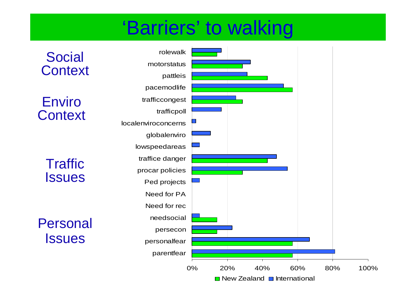## 'Barriers' to walking

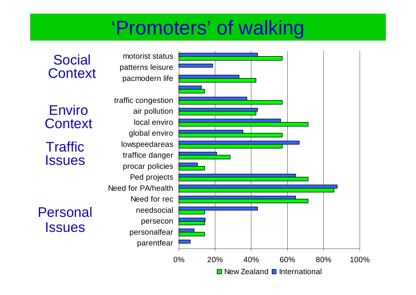## 'Promoters' of walking

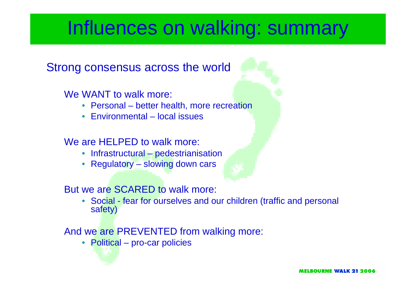## Influences on walking: summary

#### Strong consensus across the world

#### We WANT to walk more:

- Personal better health, more recreation
- Environmental local issues

#### We are HELPED to walk more:

- Infrastructural pedestrianisation
- Regulatory slowing down cars

#### But we are SCARED to walk more:

• Social - fear for ourselves and our children (traffic and personal safety)

#### And we are PREVENTED from walking more:

• Political – pro-car policies

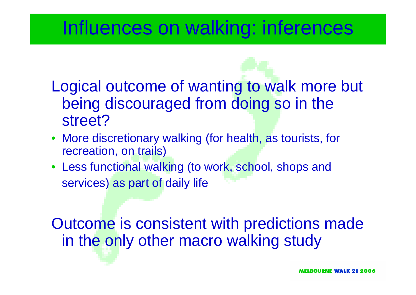## Influences on walking: inferences

- Logical outcome of wanting to walk more but being discouraged from doing so in the street?
- More discretionary walking (for health, as tourists, for recreation, on trails)
- Less functional walking (to work, school, shops and services) as part of daily life

Outcome is consistent with predictions made in the only other macro walking study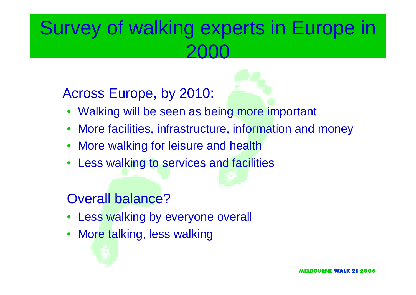## Survey of walking experts in Europe in 2000

### Across Europe, by 2010:



- Walking will be seen as being more important
- •More facilities, infrastructure, information and money
- •More walking for leisure and health
- •Less walking to services and facilities

### Overall balance?

- Less walking by everyone overall
- •More talking, less walking

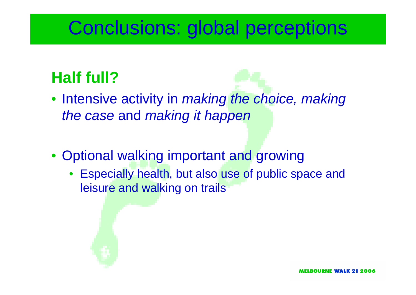## Conclusions: global perceptions

### **Half full?**

- Intensive activity in *making the choice, making the case* and *making it happen*
- Optional walking important and growing
	- • Especially health, but also use of public space and leisure and walking on trails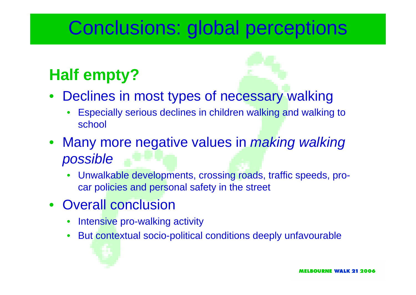## Conclusions: global perceptions

## **Half empty?**

- •Declines in most types of necessary walking
	- • Especially serious declines in children walking and walking to school
- Many more negative values in *making walking possible*
	- • Unwalkable developments, crossing roads, traffic speeds, procar policies and personal safety in the street
- Overall conclusion
	- •Intensive pro-walking activity
	- •But contextual socio-political conditions deeply unfavourable

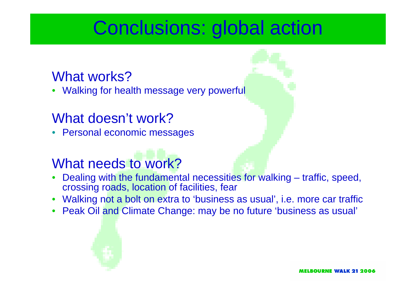## Conclusions: global action

#### What works?

•Walking for health message very powerful

#### What doesn't work?

• Personal economic messages

### What needs to work?

- • Dealing with the fundamental necessities for walking – traffic, speed, crossing roads, location of facilities, fear
- Walking not a bolt on extra to 'business as usual', i.e. more car traffic
- Peak Oil and Climate Change: may be no future 'business as usual'



ELROURNE WALK 21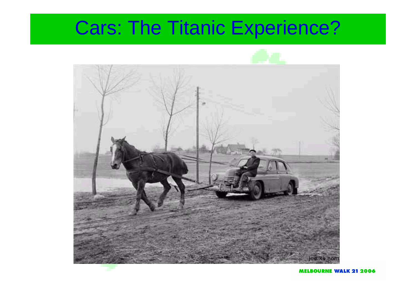## Cars: The Titanic Experience?



**MELBOURNE WALK 21 2006**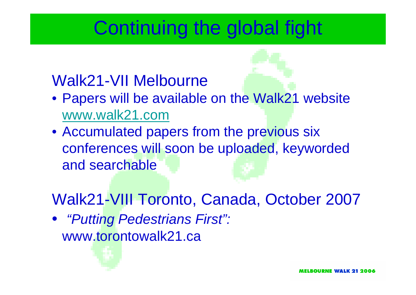## Continuing the global fight

### Walk21-VII Melbourne

- Papers will be available on the Walk21 website www.walk21.com
- Accumulated papers from the previous six conferences will soon be uploaded, keyworded and searchable

Walk21-VIII Toronto, Canada, October 2007

• *"Putting Pedestrians First":*  www.torontowalk21.ca

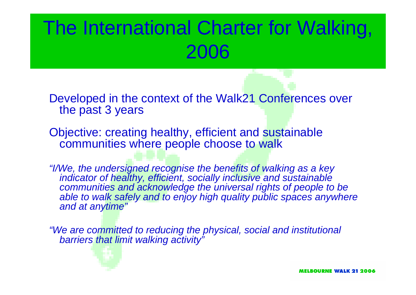## The International Charter for Walking, 2006

Developed in the context of the Walk21 Conferences over the past 3 years

Objective: creating healthy, efficient and sustainable communities where people choose to walk

*"I/We, the undersigned recognise the benefits of walking as a key indicator of healthy, efficient, socially inclusive and sustainable communities and acknowledge the universal rights of people to be* able to walk safely and to enjoy high quality public spaces anywhere *and at anytime"*

*"We are committed to reducing the physical, social and institutional barriers that limit walking activity"*



MELBOURNE WALK 21 2006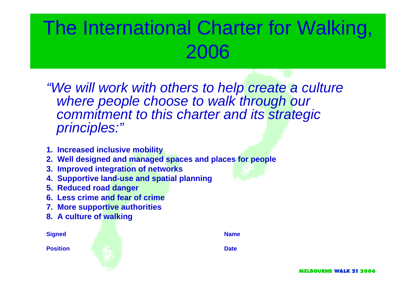## The International Charter for Walking, 2006

*"We will work with others to help create a culture where people choose to walk through our commitment to this charter and its strategic principles:"*

- **1. Increased inclusive mobility**
- **2. Well designed and managed spaces and places for people**
- **3. Improved integration of networks**
- **4. Supportive land-use and spatial planning**
- **5. Reduced road danger**
- **6. Less crime and fear of crime**
- **7. More supportive authorities**
- **8. A culture of walking**

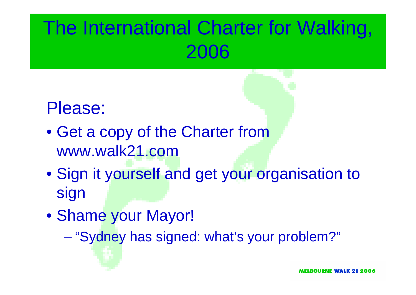## The International Charter for Walking, 2006

## Please:

- Get a copy of the Charter from www.walk21.com
- Sign it yourself and get your organisation to sign
- Shame your Mayor!
	- –"Sydney has signed: what's your problem?"